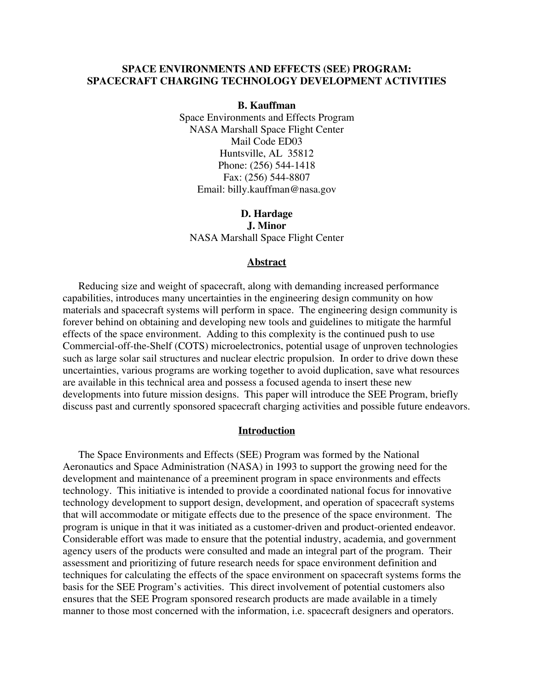## **SPACE ENVIRONMENTS AND EFFECTS (SEE) PROGRAM: SPACECRAFT CHARGING TECHNOLOGY DEVELOPMENT ACTIVITIES**

**B. Kauffman** 

Space Environments and Effects Program NASA Marshall Space Flight Center Mail Code ED03 Huntsville, AL 35812 Phone: (256) 544-1418 Fax: (256) 544-8807 Email: billy.kauffman@nasa.gov

**D. Hardage J. Minor**  NASA Marshall Space Flight Center

#### **Abstract**

 Reducing size and weight of spacecraft, along with demanding increased performance capabilities, introduces many uncertainties in the engineering design community on how materials and spacecraft systems will perform in space. The engineering design community is forever behind on obtaining and developing new tools and guidelines to mitigate the harmful effects of the space environment. Adding to this complexity is the continued push to use Commercial-off-the-Shelf (COTS) microelectronics, potential usage of unproven technologies such as large solar sail structures and nuclear electric propulsion. In order to drive down these uncertainties, various programs are working together to avoid duplication, save what resources are available in this technical area and possess a focused agenda to insert these new developments into future mission designs. This paper will introduce the SEE Program, briefly discuss past and currently sponsored spacecraft charging activities and possible future endeavors.

#### **Introduction**

 The Space Environments and Effects (SEE) Program was formed by the National Aeronautics and Space Administration (NASA) in 1993 to support the growing need for the development and maintenance of a preeminent program in space environments and effects technology. This initiative is intended to provide a coordinated national focus for innovative technology development to support design, development, and operation of spacecraft systems that will accommodate or mitigate effects due to the presence of the space environment. The program is unique in that it was initiated as a customer-driven and product-oriented endeavor. Considerable effort was made to ensure that the potential industry, academia, and government agency users of the products were consulted and made an integral part of the program. Their assessment and prioritizing of future research needs for space environment definition and techniques for calculating the effects of the space environment on spacecraft systems forms the basis for the SEE Program's activities. This direct involvement of potential customers also ensures that the SEE Program sponsored research products are made available in a timely manner to those most concerned with the information, i.e. spacecraft designers and operators.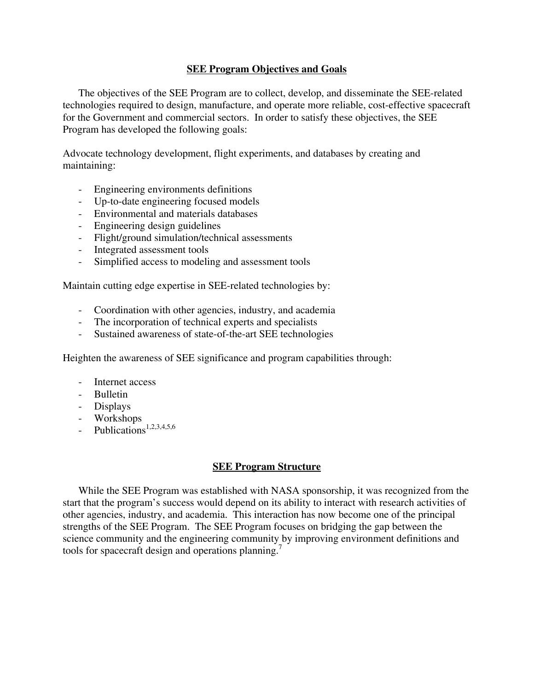# **SEE Program Objectives and Goals**

 The objectives of the SEE Program are to collect, develop, and disseminate the SEE-related technologies required to design, manufacture, and operate more reliable, cost-effective spacecraft for the Government and commercial sectors. In order to satisfy these objectives, the SEE Program has developed the following goals:

Advocate technology development, flight experiments, and databases by creating and maintaining:

- Engineering environments definitions
- Up-to-date engineering focused models
- Environmental and materials databases
- Engineering design guidelines
- Flight/ground simulation/technical assessments
- Integrated assessment tools
- Simplified access to modeling and assessment tools

Maintain cutting edge expertise in SEE-related technologies by:

- Coordination with other agencies, industry, and academia
- The incorporation of technical experts and specialists
- Sustained awareness of state-of-the-art SEE technologies

Heighten the awareness of SEE significance and program capabilities through:

- Internet access
- Bulletin
- Displays
- Workshops
- $-$  Publications<sup>1,2,3,4,5,6</sup>

# **SEE Program Structure**

 While the SEE Program was established with NASA sponsorship, it was recognized from the start that the program's success would depend on its ability to interact with research activities of other agencies, industry, and academia. This interaction has now become one of the principal strengths of the SEE Program. The SEE Program focuses on bridging the gap between the science community and the engineering community by improving environment definitions and tools for spacecraft design and operations planning.<sup>7</sup>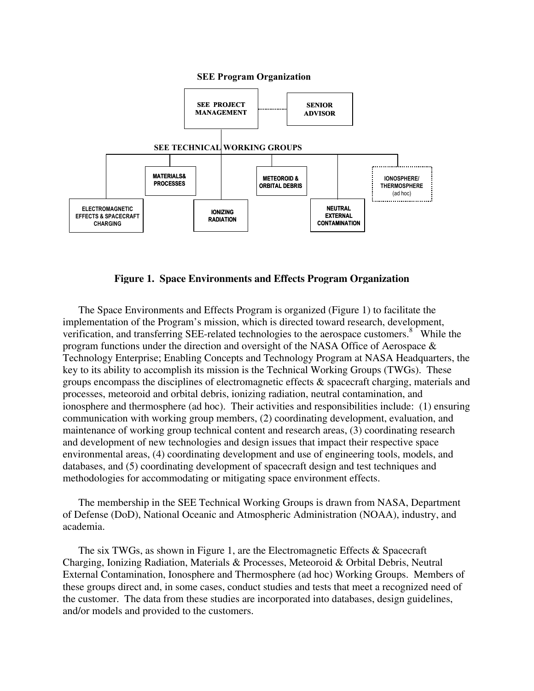#### **SEE Program Organization**



### **Figure 1. Space Environments and Effects Program Organization**

The Space Environments and Effects Program is organized (Figure 1) to facilitate the implementation of the Program's mission, which is directed toward research, development, verification, and transferring SEE-related technologies to the aerospace customers.<sup>8</sup> While the program functions under the direction and oversight of the NASA Office of Aerospace & Technology Enterprise; Enabling Concepts and Technology Program at NASA Headquarters, the key to its ability to accomplish its mission is the Technical Working Groups (TWGs). These groups encompass the disciplines of electromagnetic effects & spacecraft charging, materials and processes, meteoroid and orbital debris, ionizing radiation, neutral contamination, and ionosphere and thermosphere (ad hoc). Their activities and responsibilities include: (1) ensuring communication with working group members, (2) coordinating development, evaluation, and maintenance of working group technical content and research areas, (3) coordinating research and development of new technologies and design issues that impact their respective space environmental areas, (4) coordinating development and use of engineering tools, models, and databases, and (5) coordinating development of spacecraft design and test techniques and methodologies for accommodating or mitigating space environment effects.

The membership in the SEE Technical Working Groups is drawn from NASA, Department of Defense (DoD), National Oceanic and Atmospheric Administration (NOAA), industry, and academia.

The six TWGs, as shown in Figure 1, are the Electromagnetic Effects & Spacecraft Charging, Ionizing Radiation, Materials & Processes, Meteoroid & Orbital Debris, Neutral External Contamination, Ionosphere and Thermosphere (ad hoc) Working Groups. Members of these groups direct and, in some cases, conduct studies and tests that meet a recognized need of the customer. The data from these studies are incorporated into databases, design guidelines, and/or models and provided to the customers.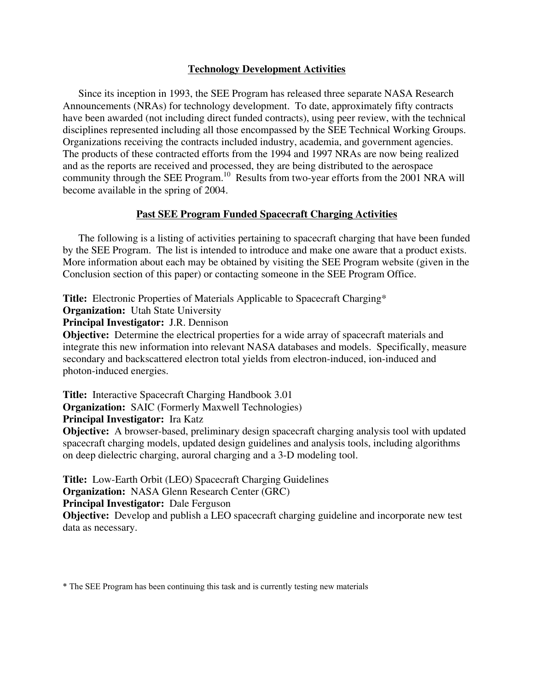# **Technology Development Activities**

 Since its inception in 1993, the SEE Program has released three separate NASA Research Announcements (NRAs) for technology development. To date, approximately fifty contracts have been awarded (not including direct funded contracts), using peer review, with the technical disciplines represented including all those encompassed by the SEE Technical Working Groups. Organizations receiving the contracts included industry, academia, and government agencies. The products of these contracted efforts from the 1994 and 1997 NRAs are now being realized and as the reports are received and processed, they are being distributed to the aerospace community through the SEE Program.<sup>10</sup> Results from two-year efforts from the 2001 NRA will become available in the spring of 2004.

# **Past SEE Program Funded Spacecraft Charging Activities**

 The following is a listing of activities pertaining to spacecraft charging that have been funded by the SEE Program. The list is intended to introduce and make one aware that a product exists. More information about each may be obtained by visiting the SEE Program website (given in the Conclusion section of this paper) or contacting someone in the SEE Program Office.

**Title:** Electronic Properties of Materials Applicable to Spacecraft Charging\*

**Organization:** Utah State University

**Principal Investigator:** J.R. Dennison

**Objective:** Determine the electrical properties for a wide array of spacecraft materials and integrate this new information into relevant NASA databases and models. Specifically, measure secondary and backscattered electron total yields from electron-induced, ion-induced and photon-induced energies.

**Title:** Interactive Spacecraft Charging Handbook 3.01 **Organization:** SAIC (Formerly Maxwell Technologies)

**Principal Investigator:** Ira Katz

**Objective:** A browser-based, preliminary design spacecraft charging analysis tool with updated spacecraft charging models, updated design guidelines and analysis tools, including algorithms on deep dielectric charging, auroral charging and a 3-D modeling tool.

**Title:** Low-Earth Orbit (LEO) Spacecraft Charging Guidelines

**Organization:** NASA Glenn Research Center (GRC)

**Principal Investigator:** Dale Ferguson

**Objective:** Develop and publish a LEO spacecraft charging guideline and incorporate new test data as necessary.

\* The SEE Program has been continuing this task and is currently testing new materials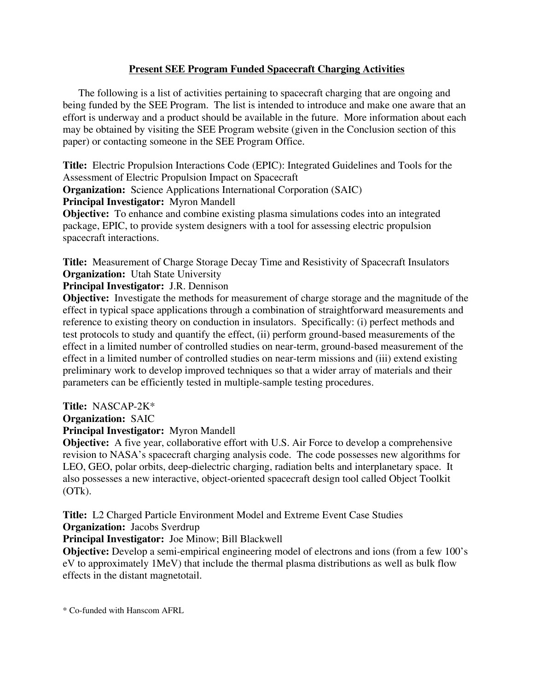# **Present SEE Program Funded Spacecraft Charging Activities**

 The following is a list of activities pertaining to spacecraft charging that are ongoing and being funded by the SEE Program. The list is intended to introduce and make one aware that an effort is underway and a product should be available in the future. More information about each may be obtained by visiting the SEE Program website (given in the Conclusion section of this paper) or contacting someone in the SEE Program Office.

**Title:** Electric Propulsion Interactions Code (EPIC): Integrated Guidelines and Tools for the Assessment of Electric Propulsion Impact on Spacecraft

**Organization:** Science Applications International Corporation (SAIC)

**Principal Investigator:** Myron Mandell

**Objective:** To enhance and combine existing plasma simulations codes into an integrated package, EPIC, to provide system designers with a tool for assessing electric propulsion spacecraft interactions.

**Title:** Measurement of Charge Storage Decay Time and Resistivity of Spacecraft Insulators **Organization:** Utah State University

# **Principal Investigator:** J.R. Dennison

**Objective:** Investigate the methods for measurement of charge storage and the magnitude of the effect in typical space applications through a combination of straightforward measurements and reference to existing theory on conduction in insulators. Specifically: (i) perfect methods and test protocols to study and quantify the effect, (ii) perform ground-based measurements of the effect in a limited number of controlled studies on near-term, ground-based measurement of the effect in a limited number of controlled studies on near-term missions and (iii) extend existing preliminary work to develop improved techniques so that a wider array of materials and their parameters can be efficiently tested in multiple-sample testing procedures.

**Title:** NASCAP-2K\*

**Organization:** SAIC

# **Principal Investigator:** Myron Mandell

**Objective:** A five year, collaborative effort with U.S. Air Force to develop a comprehensive revision to NASA's spacecraft charging analysis code. The code possesses new algorithms for LEO, GEO, polar orbits, deep-dielectric charging, radiation belts and interplanetary space. It also possesses a new interactive, object-oriented spacecraft design tool called Object Toolkit (OTk).

**Title:** L2 Charged Particle Environment Model and Extreme Event Case Studies

**Organization:** Jacobs Sverdrup

**Principal Investigator:** Joe Minow; Bill Blackwell

**Objective:** Develop a semi-empirical engineering model of electrons and ions (from a few 100's eV to approximately 1MeV) that include the thermal plasma distributions as well as bulk flow effects in the distant magnetotail.

\* Co-funded with Hanscom AFRL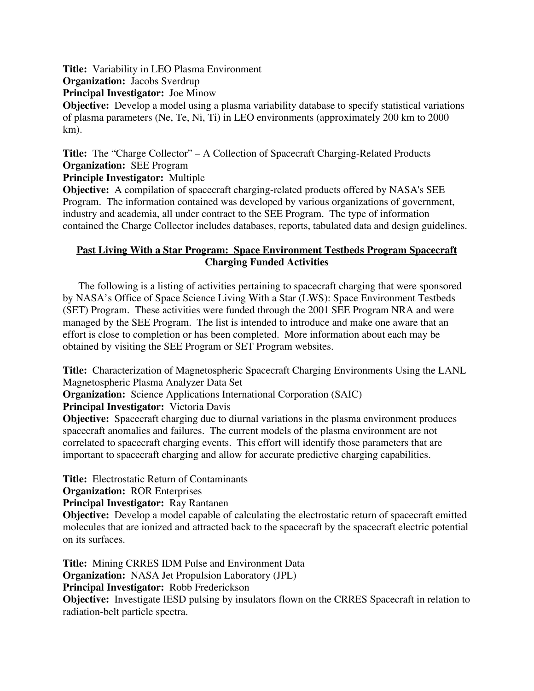**Title:** Variability in LEO Plasma Environment

**Organization:** Jacobs Sverdrup

**Principal Investigator:** Joe Minow

**Objective:** Develop a model using a plasma variability database to specify statistical variations of plasma parameters (Ne, Te, Ni, Ti) in LEO environments (approximately 200 km to 2000 km).

**Title:** The "Charge Collector" – A Collection of Spacecraft Charging-Related Products **Organization:** SEE Program

**Principle Investigator:** Multiple

**Objective:** A compilation of spacecraft charging-related products offered by NASA's SEE Program. The information contained was developed by various organizations of government, industry and academia, all under contract to the SEE Program. The type of information contained the Charge Collector includes databases, reports, tabulated data and design guidelines.

# **Past Living With a Star Program: Space Environment Testbeds Program Spacecraft Charging Funded Activities**

 The following is a listing of activities pertaining to spacecraft charging that were sponsored by NASA's Office of Space Science Living With a Star (LWS): Space Environment Testbeds (SET) Program. These activities were funded through the 2001 SEE Program NRA and were managed by the SEE Program. The list is intended to introduce and make one aware that an effort is close to completion or has been completed. More information about each may be obtained by visiting the SEE Program or SET Program websites.

**Title:** Characterization of Magnetospheric Spacecraft Charging Environments Using the LANL Magnetospheric Plasma Analyzer Data Set

**Organization:** Science Applications International Corporation (SAIC)

**Principal Investigator:** Victoria Davis

**Objective:** Spacecraft charging due to diurnal variations in the plasma environment produces spacecraft anomalies and failures. The current models of the plasma environment are not correlated to spacecraft charging events. This effort will identify those parameters that are important to spacecraft charging and allow for accurate predictive charging capabilities.

**Title:** Electrostatic Return of Contaminants

**Organization:** ROR Enterprises

**Principal Investigator:** Ray Rantanen

**Objective:** Develop a model capable of calculating the electrostatic return of spacecraft emitted molecules that are ionized and attracted back to the spacecraft by the spacecraft electric potential on its surfaces.

**Title:** Mining CRRES IDM Pulse and Environment Data **Organization:** NASA Jet Propulsion Laboratory (JPL) **Principal Investigator:** Robb Frederickson **Objective:** Investigate IESD pulsing by insulators flown on the CRRES Spacecraft in relation to radiation-belt particle spectra.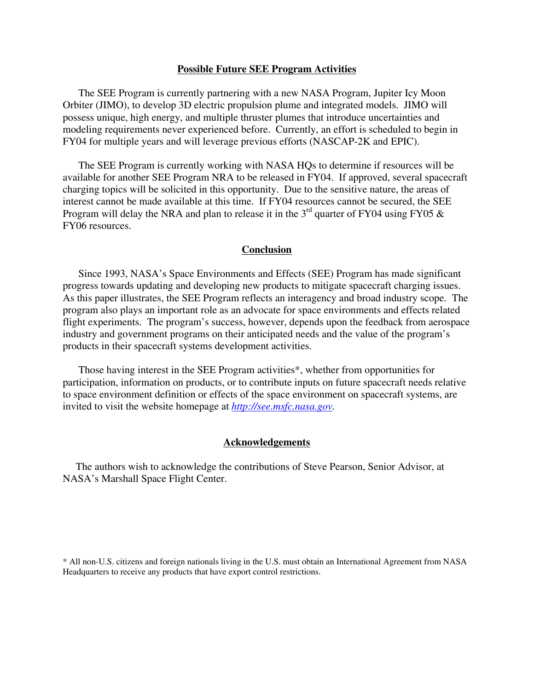### **Possible Future SEE Program Activities**

 The SEE Program is currently partnering with a new NASA Program, Jupiter Icy Moon Orbiter (JIMO), to develop 3D electric propulsion plume and integrated models. JIMO will possess unique, high energy, and multiple thruster plumes that introduce uncertainties and modeling requirements never experienced before. Currently, an effort is scheduled to begin in FY04 for multiple years and will leverage previous efforts (NASCAP-2K and EPIC).

 The SEE Program is currently working with NASA HQs to determine if resources will be available for another SEE Program NRA to be released in FY04. If approved, several spacecraft charging topics will be solicited in this opportunity. Due to the sensitive nature, the areas of interest cannot be made available at this time. If FY04 resources cannot be secured, the SEE Program will delay the NRA and plan to release it in the  $3<sup>rd</sup>$  quarter of FY04 using FY05  $\&$ FY06 resources.

### **Conclusion**

 Since 1993, NASA's Space Environments and Effects (SEE) Program has made significant progress towards updating and developing new products to mitigate spacecraft charging issues. As this paper illustrates, the SEE Program reflects an interagency and broad industry scope. The program also plays an important role as an advocate for space environments and effects related flight experiments. The program's success, however, depends upon the feedback from aerospace industry and government programs on their anticipated needs and the value of the program's products in their spacecraft systems development activities.

 Those having interest in the SEE Program activities\*, whether from opportunities for participation, information on products, or to contribute inputs on future spacecraft needs relative to space environment definition or effects of the space environment on spacecraft systems, are invited to visit the website homepage at *[http://see.msfc.nasa.gov](http://see.msfc.nasa.gov/).* 

### **Acknowledgements**

 The authors wish to acknowledge the contributions of Steve Pearson, Senior Advisor, at NASA's Marshall Space Flight Center.

<sup>\*</sup> All non-U.S. citizens and foreign nationals living in the U.S. must obtain an International Agreement from NASA Headquarters to receive any products that have export control restrictions.